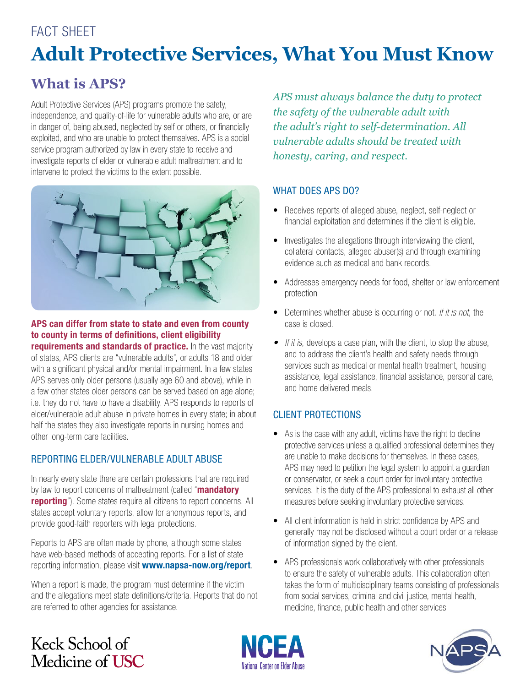# FACT SHFFT **Adult Protective Services, What You Must Know**

## **What is APS?**

Adult Protective Services (APS) programs promote the safety, independence, and quality-of-life for vulnerable adults who are, or are in danger of, being abused, neglected by self or others, or financially exploited, and who are unable to protect themselves. APS is a social service program authorized by law in every state to receive and investigate reports of elder or vulnerable adult maltreatment and to intervene to protect the victims to the extent possible.



APS can differ from state to state and even from county to county in terms of definitions, client eligibility

requirements and standards of practice. In the vast majority of states, APS clients are "vulnerable adults", or adults 18 and older with a significant physical and/or mental impairment. In a few states APS serves only older persons (usually age 60 and above), while in a few other states older persons can be served based on age alone; i.e. they do not have to have a disability. APS responds to reports of elder/vulnerable adult abuse in private homes in every state; in about half the states they also investigate reports in nursing homes and other long-term care facilities.

### REPORTING ELDER/VULNERABLE ADULT ABUSE

In nearly every state there are certain professions that are required by law to report concerns of maltreatment (called "mandatory reporting"). Some states require all citizens to report concerns. All states accept voluntary reports, allow for anonymous reports, and provide good-faith reporters with legal protections.

Reports to APS are often made by phone, although some states have web-based methods of accepting reports. For a list of state reporting information, please visit www.napsa-now.org/report.

When a report is made, the program must determine if the victim and the allegations meet state definitions/criteria. Reports that do not are referred to other agencies for assistance.

*APS must always balance the duty to protect the safety of the vulnerable adult with the adult's right to self-determination. All vulnerable adults should be treated with honesty, caring, and respect.*

### WHAT DOES APS DO?

- Receives reports of alleged abuse, neglect, self-neglect or financial exploitation and determines if the client is eligible.
- Investigates the allegations through interviewing the client, collateral contacts, alleged abuser(s) and through examining evidence such as medical and bank records.
- Addresses emergency needs for food, shelter or law enforcement protection
- Determines whether abuse is occurring or not. *If it is not*, the case is closed.
- *• If it is*, develops a case plan, with the client, to stop the abuse, and to address the client's health and safety needs through services such as medical or mental health treatment, housing assistance, legal assistance, financial assistance, personal care, and home delivered meals.

### CLIENT PROTECTIONS

- As is the case with any adult, victims have the right to decline protective services unless a qualified professional determines they are unable to make decisions for themselves. In these cases, APS may need to petition the legal system to appoint a guardian or conservator, or seek a court order for involuntary protective services. It is the duty of the APS professional to exhaust all other measures before seeking involuntary protective services.
- All client information is held in strict confidence by APS and generally may not be disclosed without a court order or a release of information signed by the client.
- APS professionals work collaboratively with other professionals to ensure the safety of vulnerable adults. This collaboration often takes the form of multidisciplinary teams consisting of professionals from social services, criminal and civil justice, mental health, medicine, finance, public health and other services.

## Keck School of Medicine of USC